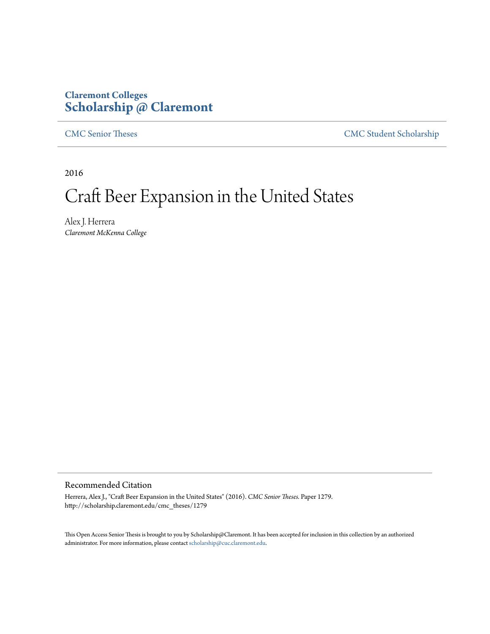# **Claremont Colleges [Scholarship @ Claremont](http://scholarship.claremont.edu)**

[CMC Senior Theses](http://scholarship.claremont.edu/cmc_theses) [CMC Student Scholarship](http://scholarship.claremont.edu/cmc_student)

2016

# Craft Beer Expansion in the United States

Alex J. Herrera *Claremont McKenna College*

## Recommended Citation

Herrera, Alex J., "Craft Beer Expansion in the United States" (2016). *CMC Senior Theses.* Paper 1279. http://scholarship.claremont.edu/cmc\_theses/1279

This Open Access Senior Thesis is brought to you by Scholarship@Claremont. It has been accepted for inclusion in this collection by an authorized administrator. For more information, please contact [scholarship@cuc.claremont.edu.](mailto:scholarship@cuc.claremont.edu)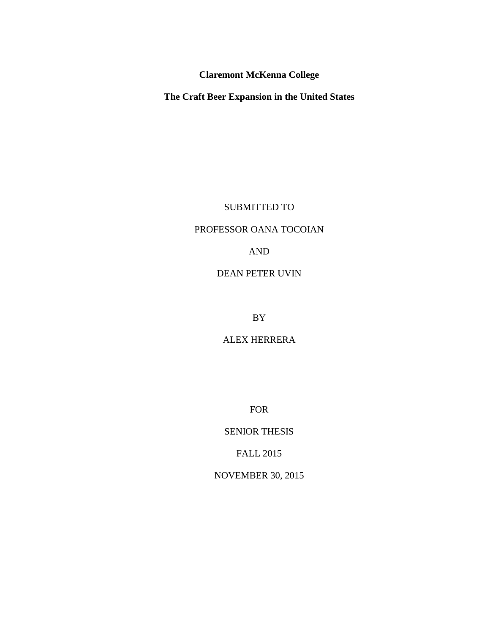**Claremont McKenna College**

**The Craft Beer Expansion in the United States** 

SUBMITTED TO

# PROFESSOR OANA TOCOIAN

AND

# DEAN PETER UVIN

BY

ALEX HERRERA

FOR

SENIOR THESIS

FALL 2015

NOVEMBER 30, 2015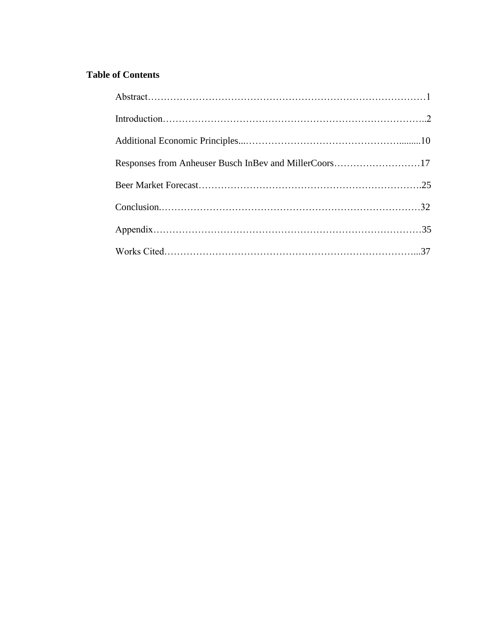# **Table of Contents**

| Responses from Anheuser Busch InBev and MillerCoors17 |  |
|-------------------------------------------------------|--|
|                                                       |  |
|                                                       |  |
|                                                       |  |
|                                                       |  |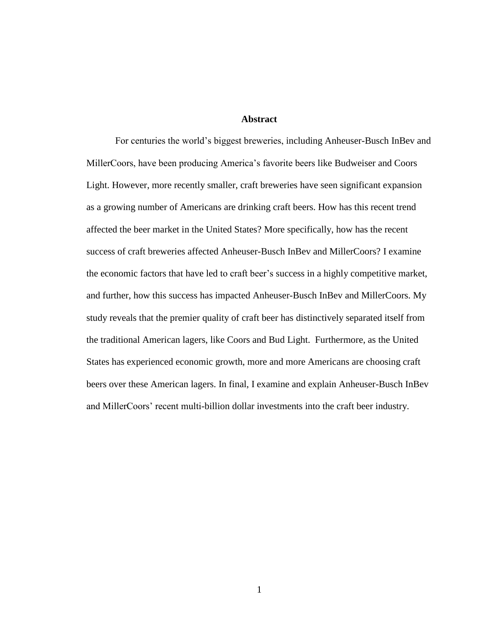## **Abstract**

For centuries the world's biggest breweries, including Anheuser-Busch InBev and MillerCoors, have been producing America's favorite beers like Budweiser and Coors Light. However, more recently smaller, craft breweries have seen significant expansion as a growing number of Americans are drinking craft beers. How has this recent trend affected the beer market in the United States? More specifically, how has the recent success of craft breweries affected Anheuser-Busch InBev and MillerCoors? I examine the economic factors that have led to craft beer's success in a highly competitive market, and further, how this success has impacted Anheuser-Busch InBev and MillerCoors. My study reveals that the premier quality of craft beer has distinctively separated itself from the traditional American lagers, like Coors and Bud Light. Furthermore, as the United States has experienced economic growth, more and more Americans are choosing craft beers over these American lagers. In final, I examine and explain Anheuser-Busch InBev and MillerCoors' recent multi-billion dollar investments into the craft beer industry.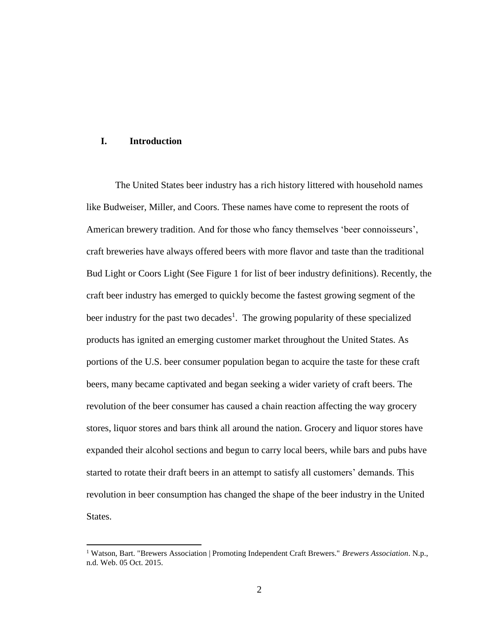# **I. Introduction**

 $\overline{a}$ 

The United States beer industry has a rich history littered with household names like Budweiser, Miller, and Coors. These names have come to represent the roots of American brewery tradition. And for those who fancy themselves 'beer connoisseurs', craft breweries have always offered beers with more flavor and taste than the traditional Bud Light or Coors Light (See Figure 1 for list of beer industry definitions). Recently, the craft beer industry has emerged to quickly become the fastest growing segment of the beer industry for the past two decades<sup>1</sup>. The growing popularity of these specialized products has ignited an emerging customer market throughout the United States. As portions of the U.S. beer consumer population began to acquire the taste for these craft beers, many became captivated and began seeking a wider variety of craft beers. The revolution of the beer consumer has caused a chain reaction affecting the way grocery stores, liquor stores and bars think all around the nation. Grocery and liquor stores have expanded their alcohol sections and begun to carry local beers, while bars and pubs have started to rotate their draft beers in an attempt to satisfy all customers' demands. This revolution in beer consumption has changed the shape of the beer industry in the United States.

<sup>1</sup> Watson, Bart. "Brewers Association | Promoting Independent Craft Brewers." *Brewers Association*. N.p., n.d. Web. 05 Oct. 2015.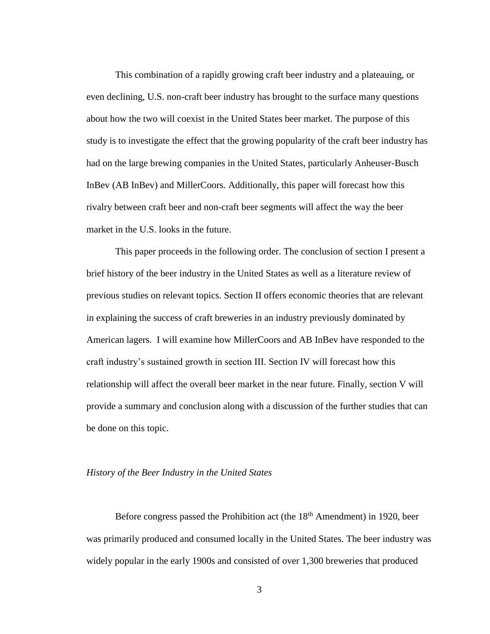This combination of a rapidly growing craft beer industry and a plateauing, or even declining, U.S. non-craft beer industry has brought to the surface many questions about how the two will coexist in the United States beer market. The purpose of this study is to investigate the effect that the growing popularity of the craft beer industry has had on the large brewing companies in the United States, particularly Anheuser-Busch InBev (AB InBev) and MillerCoors. Additionally, this paper will forecast how this rivalry between craft beer and non-craft beer segments will affect the way the beer market in the U.S. looks in the future.

This paper proceeds in the following order. The conclusion of section I present a brief history of the beer industry in the United States as well as a literature review of previous studies on relevant topics. Section II offers economic theories that are relevant in explaining the success of craft breweries in an industry previously dominated by American lagers. I will examine how MillerCoors and AB InBev have responded to the craft industry's sustained growth in section III. Section IV will forecast how this relationship will affect the overall beer market in the near future. Finally, section V will provide a summary and conclusion along with a discussion of the further studies that can be done on this topic.

### *History of the Beer Industry in the United States*

Before congress passed the Prohibition act (the  $18<sup>th</sup>$  Amendment) in 1920, beer was primarily produced and consumed locally in the United States. The beer industry was widely popular in the early 1900s and consisted of over 1,300 breweries that produced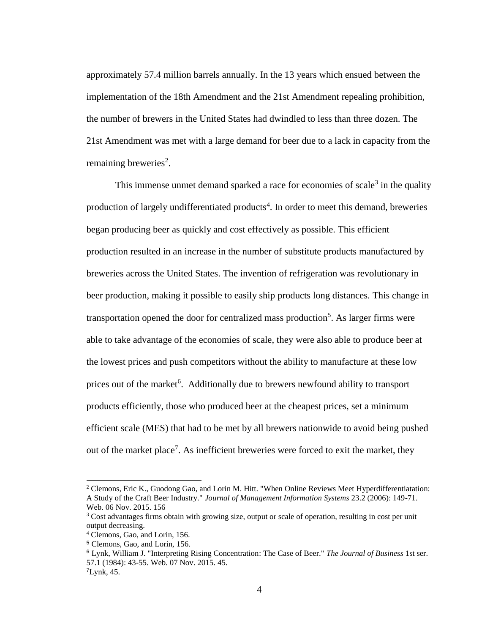approximately 57.4 million barrels annually. In the 13 years which ensued between the implementation of the 18th Amendment and the 21st Amendment repealing prohibition, the number of brewers in the United States had dwindled to less than three dozen. The 21st Amendment was met with a large demand for beer due to a lack in capacity from the remaining breweries<sup>2</sup>.

This immense unmet demand sparked a race for economies of scale<sup>3</sup> in the quality production of largely undifferentiated products<sup>4</sup>. In order to meet this demand, breweries began producing beer as quickly and cost effectively as possible. This efficient production resulted in an increase in the number of substitute products manufactured by breweries across the United States. The invention of refrigeration was revolutionary in beer production, making it possible to easily ship products long distances. This change in transportation opened the door for centralized mass production<sup>5</sup>. As larger firms were able to take advantage of the economies of scale, they were also able to produce beer at the lowest prices and push competitors without the ability to manufacture at these low prices out of the market<sup>6</sup>. Additionally due to brewers newfound ability to transport products efficiently, those who produced beer at the cheapest prices, set a minimum efficient scale (MES) that had to be met by all brewers nationwide to avoid being pushed out of the market place<sup>7</sup>. As inefficient breweries were forced to exit the market, they

 $\overline{a}$ 

<sup>&</sup>lt;sup>2</sup> Clemons, Eric K., Guodong Gao, and Lorin M. Hitt. "When Online Reviews Meet Hyperdifferentiatation: A Study of the Craft Beer Industry." *Journal of Management Information Systems* 23.2 (2006): 149-71. Web. 06 Nov. 2015. 156

<sup>3</sup> Cost advantages firms obtain with growing size, output or scale of operation, resulting in cost per unit output decreasing.

<sup>4</sup> Clemons, Gao, and Lorin, 156.

<sup>5</sup> Clemons, Gao, and Lorin, 156.

<sup>6</sup> Lynk, William J. "Interpreting Rising Concentration: The Case of Beer." *The Journal of Business* 1st ser. 57.1 (1984): 43-55. Web. 07 Nov. 2015. 45.

<sup>7</sup>Lynk, 45.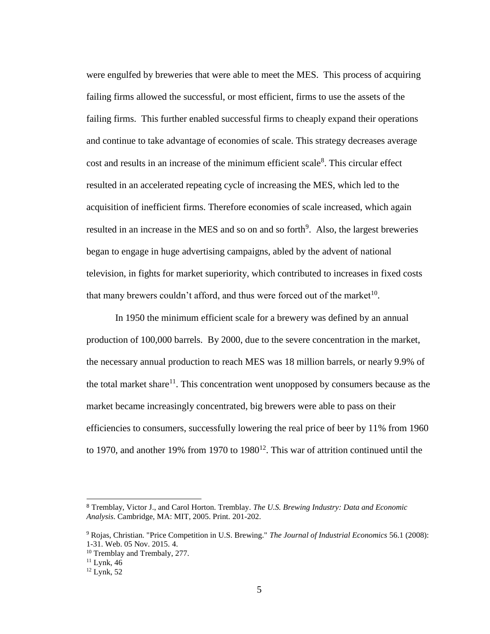were engulfed by breweries that were able to meet the MES. This process of acquiring failing firms allowed the successful, or most efficient, firms to use the assets of the failing firms. This further enabled successful firms to cheaply expand their operations and continue to take advantage of economies of scale. This strategy decreases average cost and results in an increase of the minimum efficient scale<sup>8</sup>. This circular effect resulted in an accelerated repeating cycle of increasing the MES, which led to the acquisition of inefficient firms. Therefore economies of scale increased, which again resulted in an increase in the MES and so on and so forth<sup>9</sup>. Also, the largest breweries began to engage in huge advertising campaigns, abled by the advent of national television, in fights for market superiority, which contributed to increases in fixed costs that many brewers couldn't afford, and thus were forced out of the market $10$ .

In 1950 the minimum efficient scale for a brewery was defined by an annual production of 100,000 barrels. By 2000, due to the severe concentration in the market, the necessary annual production to reach MES was 18 million barrels, or nearly 9.9% of the total market share $11$ . This concentration went unopposed by consumers because as the market became increasingly concentrated, big brewers were able to pass on their efficiencies to consumers, successfully lowering the real price of beer by 11% from 1960 to 1970, and another 19% from 1970 to 1980<sup>12</sup>. This war of attrition continued until the

<sup>8</sup> Tremblay, Victor J., and Carol Horton. Tremblay. *The U.S. Brewing Industry: Data and Economic Analysis*. Cambridge, MA: MIT, 2005. Print. 201-202.

<sup>9</sup> Rojas, Christian. "Price Competition in U.S. Brewing." *The Journal of Industrial Economics* 56.1 (2008): 1-31. Web. 05 Nov. 2015. 4.

<sup>10</sup> Tremblay and Trembaly, 277.

 $11$  Lynk, 46

 $12$  Lynk, 52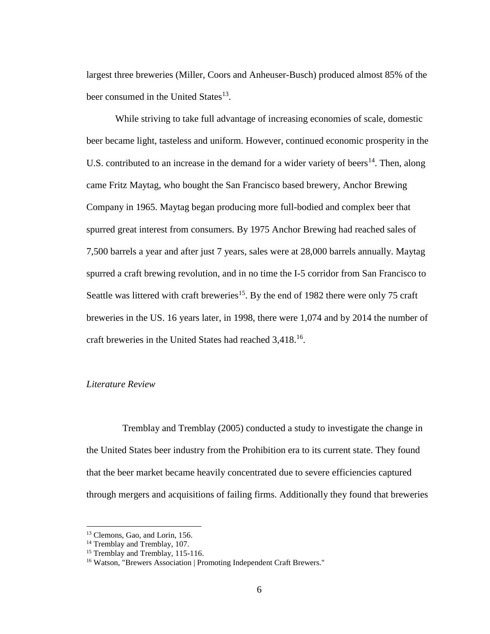largest three breweries (Miller, Coors and Anheuser-Busch) produced almost 85% of the beer consumed in the United States<sup>13</sup>.

While striving to take full advantage of increasing economies of scale, domestic beer became light, tasteless and uniform. However, continued economic prosperity in the U.S. contributed to an increase in the demand for a wider variety of beers<sup>14</sup>. Then, along came Fritz Maytag, who bought the San Francisco based brewery, Anchor Brewing Company in 1965. Maytag began producing more full-bodied and complex beer that spurred great interest from consumers. By 1975 Anchor Brewing had reached sales of 7,500 barrels a year and after just 7 years, sales were at 28,000 barrels annually. Maytag spurred a craft brewing revolution, and in no time the I-5 corridor from San Francisco to Seattle was littered with craft breweries<sup>15</sup>. By the end of 1982 there were only 75 craft breweries in the US. 16 years later, in 1998, there were 1,074 and by 2014 the number of craft breweries in the United States had reached 3,418.<sup>16</sup>.

#### *Literature Review*

 Tremblay and Tremblay (2005) conducted a study to investigate the change in the United States beer industry from the Prohibition era to its current state. They found that the beer market became heavily concentrated due to severe efficiencies captured through mergers and acquisitions of failing firms. Additionally they found that breweries

<sup>&</sup>lt;sup>13</sup> Clemons, Gao, and Lorin, 156.

<sup>&</sup>lt;sup>14</sup> Tremblay and Tremblay, 107.

<sup>&</sup>lt;sup>15</sup> Tremblay and Tremblay, 115-116.

<sup>&</sup>lt;sup>16</sup> Watson, "Brewers Association | Promoting Independent Craft Brewers."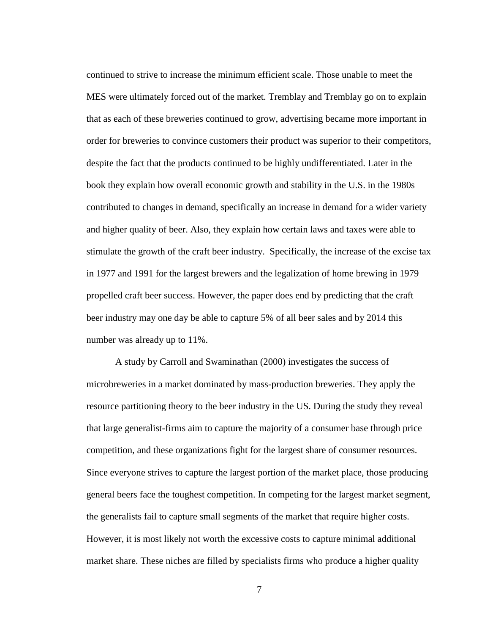continued to strive to increase the minimum efficient scale. Those unable to meet the MES were ultimately forced out of the market. Tremblay and Tremblay go on to explain that as each of these breweries continued to grow, advertising became more important in order for breweries to convince customers their product was superior to their competitors, despite the fact that the products continued to be highly undifferentiated. Later in the book they explain how overall economic growth and stability in the U.S. in the 1980s contributed to changes in demand, specifically an increase in demand for a wider variety and higher quality of beer. Also, they explain how certain laws and taxes were able to stimulate the growth of the craft beer industry. Specifically, the increase of the excise tax in 1977 and 1991 for the largest brewers and the legalization of home brewing in 1979 propelled craft beer success. However, the paper does end by predicting that the craft beer industry may one day be able to capture 5% of all beer sales and by 2014 this number was already up to 11%.

A study by Carroll and Swaminathan (2000) investigates the success of microbreweries in a market dominated by mass-production breweries. They apply the resource partitioning theory to the beer industry in the US. During the study they reveal that large generalist-firms aim to capture the majority of a consumer base through price competition, and these organizations fight for the largest share of consumer resources. Since everyone strives to capture the largest portion of the market place, those producing general beers face the toughest competition. In competing for the largest market segment, the generalists fail to capture small segments of the market that require higher costs. However, it is most likely not worth the excessive costs to capture minimal additional market share. These niches are filled by specialists firms who produce a higher quality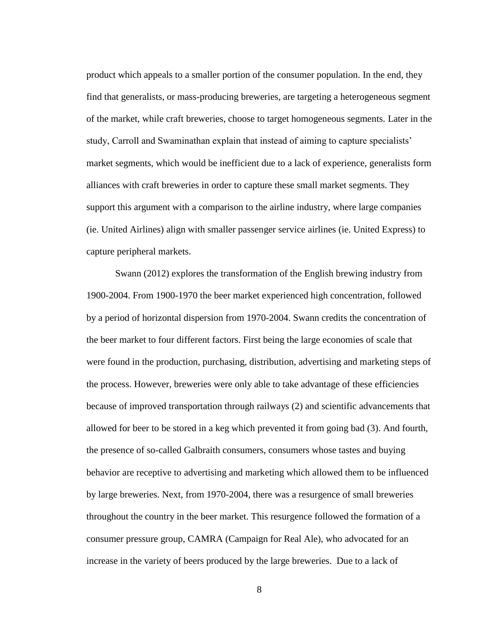product which appeals to a smaller portion of the consumer population. In the end, they find that generalists, or mass-producing breweries, are targeting a heterogeneous segment of the market, while craft breweries, choose to target homogeneous segments. Later in the study, Carroll and Swaminathan explain that instead of aiming to capture specialists' market segments, which would be inefficient due to a lack of experience, generalists form alliances with craft breweries in order to capture these small market segments. They support this argument with a comparison to the airline industry, where large companies (ie. United Airlines) align with smaller passenger service airlines (ie. United Express) to capture peripheral markets.

Swann (2012) explores the transformation of the English brewing industry from 1900-2004. From 1900-1970 the beer market experienced high concentration, followed by a period of horizontal dispersion from 1970-2004. Swann credits the concentration of the beer market to four different factors. First being the large economies of scale that were found in the production, purchasing, distribution, advertising and marketing steps of the process. However, breweries were only able to take advantage of these efficiencies because of improved transportation through railways (2) and scientific advancements that allowed for beer to be stored in a keg which prevented it from going bad (3). And fourth, the presence of so-called Galbraith consumers, consumers whose tastes and buying behavior are receptive to advertising and marketing which allowed them to be influenced by large breweries. Next, from 1970-2004, there was a resurgence of small breweries throughout the country in the beer market. This resurgence followed the formation of a consumer pressure group, CAMRA (Campaign for Real Ale), who advocated for an increase in the variety of beers produced by the large breweries. Due to a lack of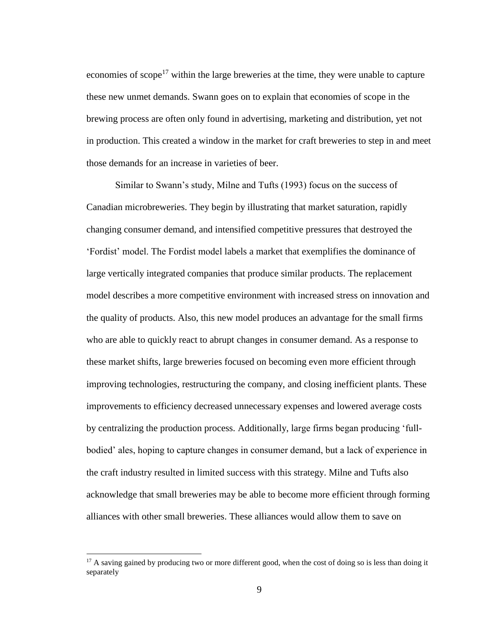economies of scope<sup>17</sup> within the large breweries at the time, they were unable to capture these new unmet demands. Swann goes on to explain that economies of scope in the brewing process are often only found in advertising, marketing and distribution, yet not in production. This created a window in the market for craft breweries to step in and meet those demands for an increase in varieties of beer.

Similar to Swann's study, Milne and Tufts (1993) focus on the success of Canadian microbreweries. They begin by illustrating that market saturation, rapidly changing consumer demand, and intensified competitive pressures that destroyed the 'Fordist' model. The Fordist model labels a market that exemplifies the dominance of large vertically integrated companies that produce similar products. The replacement model describes a more competitive environment with increased stress on innovation and the quality of products. Also, this new model produces an advantage for the small firms who are able to quickly react to abrupt changes in consumer demand. As a response to these market shifts, large breweries focused on becoming even more efficient through improving technologies, restructuring the company, and closing inefficient plants. These improvements to efficiency decreased unnecessary expenses and lowered average costs by centralizing the production process. Additionally, large firms began producing 'fullbodied' ales, hoping to capture changes in consumer demand, but a lack of experience in the craft industry resulted in limited success with this strategy. Milne and Tufts also acknowledge that small breweries may be able to become more efficient through forming alliances with other small breweries. These alliances would allow them to save on

 $17$  A saving gained by producing two or more different good, when the cost of doing so is less than doing it separately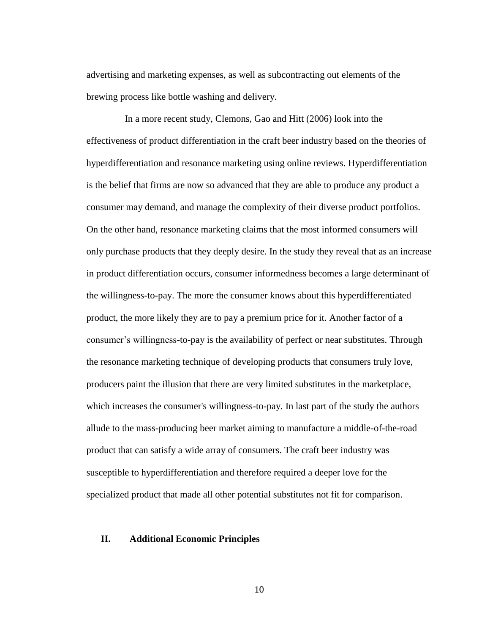advertising and marketing expenses, as well as subcontracting out elements of the brewing process like bottle washing and delivery.

 In a more recent study, Clemons, Gao and Hitt (2006) look into the effectiveness of product differentiation in the craft beer industry based on the theories of hyperdifferentiation and resonance marketing using online reviews. Hyperdifferentiation is the belief that firms are now so advanced that they are able to produce any product a consumer may demand, and manage the complexity of their diverse product portfolios. On the other hand, resonance marketing claims that the most informed consumers will only purchase products that they deeply desire. In the study they reveal that as an increase in product differentiation occurs, consumer informedness becomes a large determinant of the willingness-to-pay. The more the consumer knows about this hyperdifferentiated product, the more likely they are to pay a premium price for it. Another factor of a consumer's willingness-to-pay is the availability of perfect or near substitutes. Through the resonance marketing technique of developing products that consumers truly love, producers paint the illusion that there are very limited substitutes in the marketplace, which increases the consumer's willingness-to-pay. In last part of the study the authors allude to the mass-producing beer market aiming to manufacture a middle-of-the-road product that can satisfy a wide array of consumers. The craft beer industry was susceptible to hyperdifferentiation and therefore required a deeper love for the specialized product that made all other potential substitutes not fit for comparison.

#### **II. Additional Economic Principles**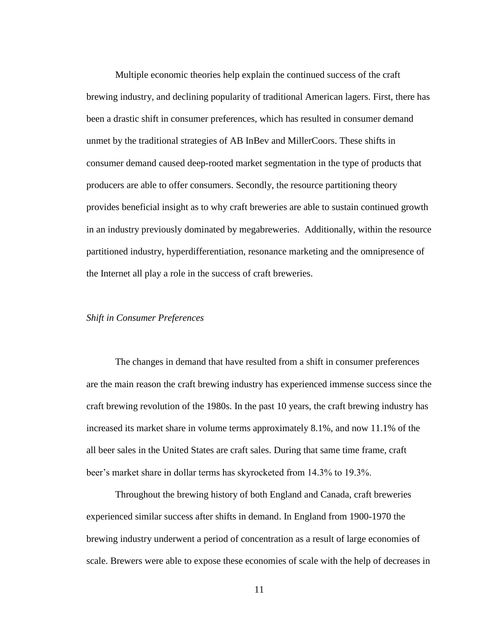Multiple economic theories help explain the continued success of the craft brewing industry, and declining popularity of traditional American lagers. First, there has been a drastic shift in consumer preferences, which has resulted in consumer demand unmet by the traditional strategies of AB InBev and MillerCoors. These shifts in consumer demand caused deep-rooted market segmentation in the type of products that producers are able to offer consumers. Secondly, the resource partitioning theory provides beneficial insight as to why craft breweries are able to sustain continued growth in an industry previously dominated by megabreweries. Additionally, within the resource partitioned industry, hyperdifferentiation, resonance marketing and the omnipresence of the Internet all play a role in the success of craft breweries.

#### *Shift in Consumer Preferences*

The changes in demand that have resulted from a shift in consumer preferences are the main reason the craft brewing industry has experienced immense success since the craft brewing revolution of the 1980s. In the past 10 years, the craft brewing industry has increased its market share in volume terms approximately 8.1%, and now 11.1% of the all beer sales in the United States are craft sales. During that same time frame, craft beer's market share in dollar terms has skyrocketed from 14.3% to 19.3%.

Throughout the brewing history of both England and Canada, craft breweries experienced similar success after shifts in demand. In England from 1900-1970 the brewing industry underwent a period of concentration as a result of large economies of scale. Brewers were able to expose these economies of scale with the help of decreases in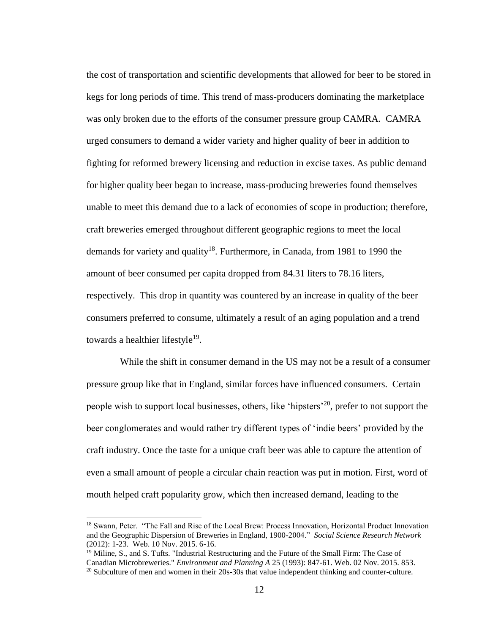the cost of transportation and scientific developments that allowed for beer to be stored in kegs for long periods of time. This trend of mass-producers dominating the marketplace was only broken due to the efforts of the consumer pressure group CAMRA. CAMRA urged consumers to demand a wider variety and higher quality of beer in addition to fighting for reformed brewery licensing and reduction in excise taxes. As public demand for higher quality beer began to increase, mass-producing breweries found themselves unable to meet this demand due to a lack of economies of scope in production; therefore, craft breweries emerged throughout different geographic regions to meet the local demands for variety and quality<sup>18</sup>. Furthermore, in Canada, from 1981 to 1990 the amount of beer consumed per capita dropped from 84.31 liters to 78.16 liters, respectively. This drop in quantity was countered by an increase in quality of the beer consumers preferred to consume, ultimately a result of an aging population and a trend towards a healthier lifestyle<sup>19</sup>.

While the shift in consumer demand in the US may not be a result of a consumer pressure group like that in England, similar forces have influenced consumers. Certain people wish to support local businesses, others, like 'hipsters'<sup>20</sup>, prefer to not support the beer conglomerates and would rather try different types of 'indie beers' provided by the craft industry. Once the taste for a unique craft beer was able to capture the attention of even a small amount of people a circular chain reaction was put in motion. First, word of mouth helped craft popularity grow, which then increased demand, leading to the

 $\overline{a}$ 

<sup>18</sup> Swann, Peter. "The Fall and Rise of the Local Brew: Process Innovation, Horizontal Product Innovation and the Geographic Dispersion of Breweries in England, 1900-2004." *Social Science Research Network*  (2012): 1-23. Web. 10 Nov. 2015. 6-16.

<sup>&</sup>lt;sup>19</sup> Miline, S., and S. Tufts. "Industrial Restructuring and the Future of the Small Firm: The Case of Canadian Microbreweries." *Environment and Planning A* 25 (1993): 847-61. Web. 02 Nov. 2015. 853.  $^{20}$  Subculture of men and women in their 20s-30s that value independent thinking and counter-culture.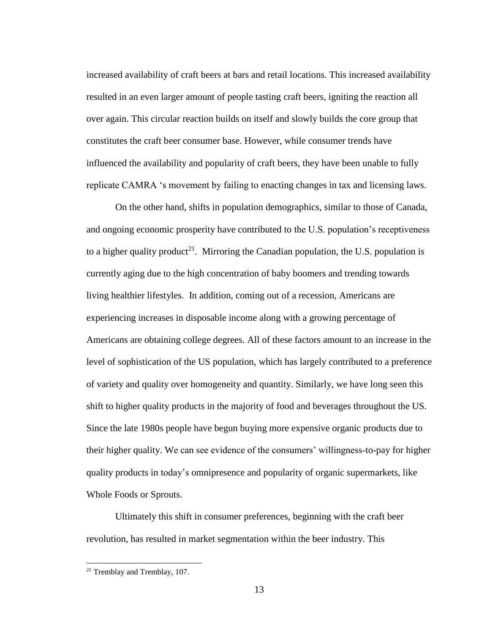increased availability of craft beers at bars and retail locations. This increased availability resulted in an even larger amount of people tasting craft beers, igniting the reaction all over again. This circular reaction builds on itself and slowly builds the core group that constitutes the craft beer consumer base. However, while consumer trends have influenced the availability and popularity of craft beers, they have been unable to fully replicate CAMRA 's movement by failing to enacting changes in tax and licensing laws.

On the other hand, shifts in population demographics, similar to those of Canada, and ongoing economic prosperity have contributed to the U.S. population's receptiveness to a higher quality product<sup>21</sup>. Mirroring the Canadian population, the U.S. population is currently aging due to the high concentration of baby boomers and trending towards living healthier lifestyles. In addition, coming out of a recession, Americans are experiencing increases in disposable income along with a growing percentage of Americans are obtaining college degrees. All of these factors amount to an increase in the level of sophistication of the US population, which has largely contributed to a preference of variety and quality over homogeneity and quantity. Similarly, we have long seen this shift to higher quality products in the majority of food and beverages throughout the US. Since the late 1980s people have begun buying more expensive organic products due to their higher quality. We can see evidence of the consumers' willingness-to-pay for higher quality products in today's omnipresence and popularity of organic supermarkets, like Whole Foods or Sprouts.

Ultimately this shift in consumer preferences, beginning with the craft beer revolution, has resulted in market segmentation within the beer industry. This

<sup>21</sup> Tremblay and Tremblay, 107.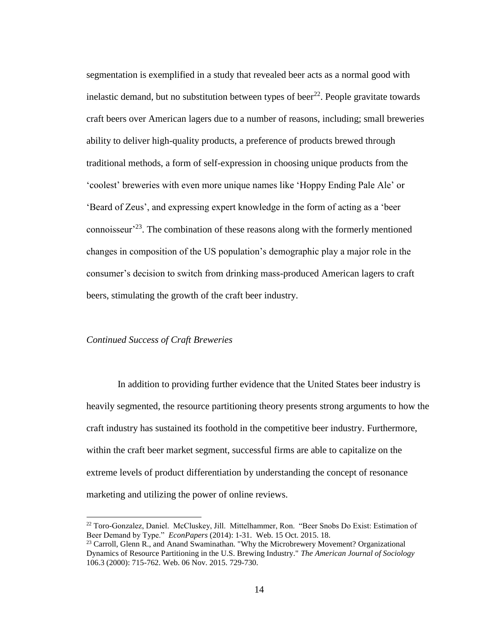segmentation is exemplified in a study that revealed beer acts as a normal good with inelastic demand, but no substitution between types of beer<sup>22</sup>. People gravitate towards craft beers over American lagers due to a number of reasons, including; small breweries ability to deliver high-quality products, a preference of products brewed through traditional methods, a form of self-expression in choosing unique products from the 'coolest' breweries with even more unique names like 'Hoppy Ending Pale Ale' or 'Beard of Zeus', and expressing expert knowledge in the form of acting as a 'beer connoisseur<sup> $23$ </sup>. The combination of these reasons along with the formerly mentioned changes in composition of the US population's demographic play a major role in the consumer's decision to switch from drinking mass-produced American lagers to craft beers, stimulating the growth of the craft beer industry.

#### *Continued Success of Craft Breweries*

 $\overline{a}$ 

In addition to providing further evidence that the United States beer industry is heavily segmented, the resource partitioning theory presents strong arguments to how the craft industry has sustained its foothold in the competitive beer industry. Furthermore, within the craft beer market segment, successful firms are able to capitalize on the extreme levels of product differentiation by understanding the concept of resonance marketing and utilizing the power of online reviews.

 $22$  Toro-Gonzalez, Daniel. McCluskey, Jill. Mittelhammer, Ron. "Beer Snobs Do Exist: Estimation of Beer Demand by Type." *EconPapers* (2014): 1-31. Web. 15 Oct. 2015. 18.

 $^{23}$  Carroll, Glenn R., and Anand Swaminathan. "Why the Microbrewery Movement? Organizational Dynamics of Resource Partitioning in the U.S. Brewing Industry." *The American Journal of Sociology* 106.3 (2000): 715-762. Web. 06 Nov. 2015. 729-730.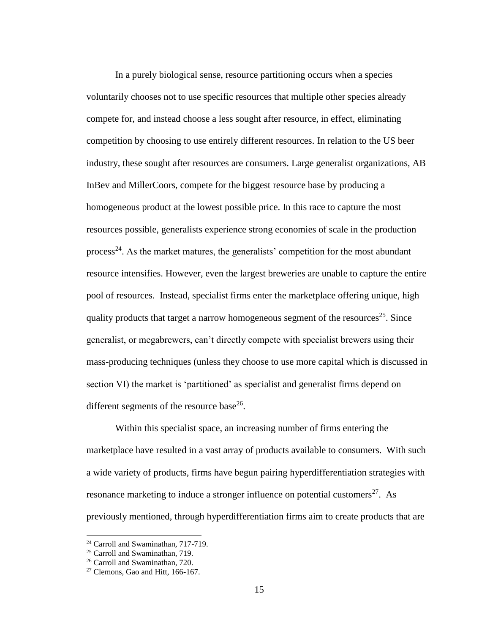In a purely biological sense, resource partitioning occurs when a species voluntarily chooses not to use specific resources that multiple other species already compete for, and instead choose a less sought after resource, in effect, eliminating competition by choosing to use entirely different resources. In relation to the US beer industry, these sought after resources are consumers. Large generalist organizations, AB InBev and MillerCoors, compete for the biggest resource base by producing a homogeneous product at the lowest possible price. In this race to capture the most resources possible, generalists experience strong economies of scale in the production process<sup>24</sup>. As the market matures, the generalists' competition for the most abundant resource intensifies. However, even the largest breweries are unable to capture the entire pool of resources. Instead, specialist firms enter the marketplace offering unique, high quality products that target a narrow homogeneous segment of the resources<sup>25</sup>. Since generalist, or megabrewers, can't directly compete with specialist brewers using their mass-producing techniques (unless they choose to use more capital which is discussed in section VI) the market is 'partitioned' as specialist and generalist firms depend on different segments of the resource base<sup>26</sup>.

Within this specialist space, an increasing number of firms entering the marketplace have resulted in a vast array of products available to consumers. With such a wide variety of products, firms have begun pairing hyperdifferentiation strategies with resonance marketing to induce a stronger influence on potential customers<sup>27</sup>. As previously mentioned, through hyperdifferentiation firms aim to create products that are

<sup>&</sup>lt;sup>24</sup> Carroll and Swaminathan, 717-719.

<sup>&</sup>lt;sup>25</sup> Carroll and Swaminathan, 719.

<sup>26</sup> Carroll and Swaminathan, 720.

 $27$  Clemons, Gao and Hitt, 166-167.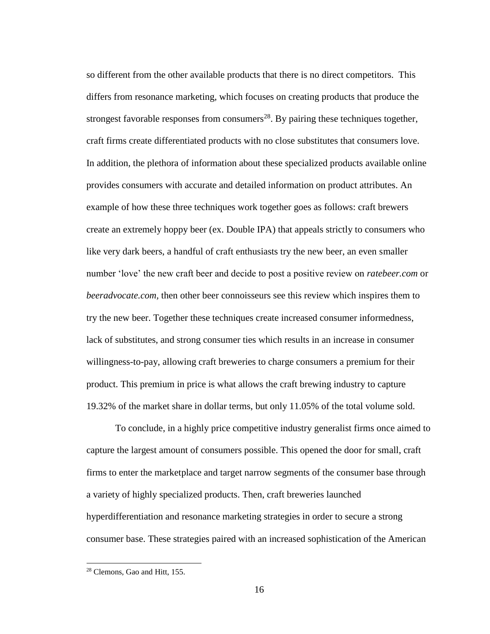so different from the other available products that there is no direct competitors. This differs from resonance marketing, which focuses on creating products that produce the strongest favorable responses from consumers<sup>28</sup>. By pairing these techniques together, craft firms create differentiated products with no close substitutes that consumers love. In addition, the plethora of information about these specialized products available online provides consumers with accurate and detailed information on product attributes. An example of how these three techniques work together goes as follows: craft brewers create an extremely hoppy beer (ex. Double IPA) that appeals strictly to consumers who like very dark beers, a handful of craft enthusiasts try the new beer, an even smaller number 'love' the new craft beer and decide to post a positive review on *ratebeer.com* or *beeradvocate.com*, then other beer connoisseurs see this review which inspires them to try the new beer. Together these techniques create increased consumer informedness, lack of substitutes, and strong consumer ties which results in an increase in consumer willingness-to-pay, allowing craft breweries to charge consumers a premium for their product. This premium in price is what allows the craft brewing industry to capture 19.32% of the market share in dollar terms, but only 11.05% of the total volume sold.

To conclude, in a highly price competitive industry generalist firms once aimed to capture the largest amount of consumers possible. This opened the door for small, craft firms to enter the marketplace and target narrow segments of the consumer base through a variety of highly specialized products. Then, craft breweries launched hyperdifferentiation and resonance marketing strategies in order to secure a strong consumer base. These strategies paired with an increased sophistication of the American

<sup>28</sup> Clemons, Gao and Hitt, 155.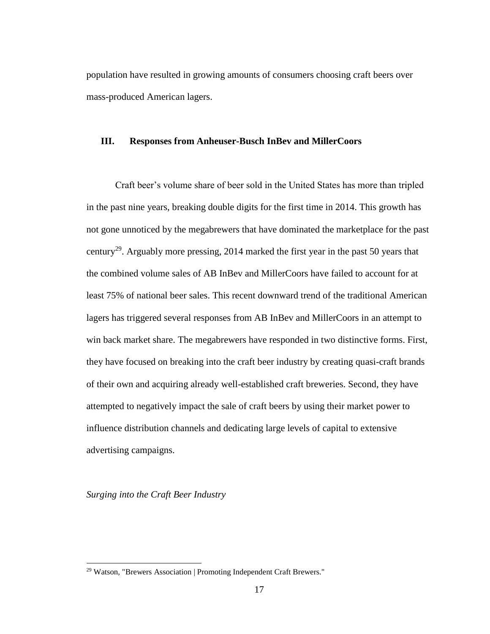population have resulted in growing amounts of consumers choosing craft beers over mass-produced American lagers.

# **III. Responses from Anheuser-Busch InBev and MillerCoors**

Craft beer's volume share of beer sold in the United States has more than tripled in the past nine years, breaking double digits for the first time in 2014. This growth has not gone unnoticed by the megabrewers that have dominated the marketplace for the past century<sup>29</sup>. Arguably more pressing, 2014 marked the first year in the past 50 years that the combined volume sales of AB InBev and MillerCoors have failed to account for at least 75% of national beer sales. This recent downward trend of the traditional American lagers has triggered several responses from AB InBev and MillerCoors in an attempt to win back market share. The megabrewers have responded in two distinctive forms. First, they have focused on breaking into the craft beer industry by creating quasi-craft brands of their own and acquiring already well-established craft breweries. Second, they have attempted to negatively impact the sale of craft beers by using their market power to influence distribution channels and dedicating large levels of capital to extensive advertising campaigns.

*Surging into the Craft Beer Industry* 

<sup>&</sup>lt;sup>29</sup> Watson, "Brewers Association | Promoting Independent Craft Brewers."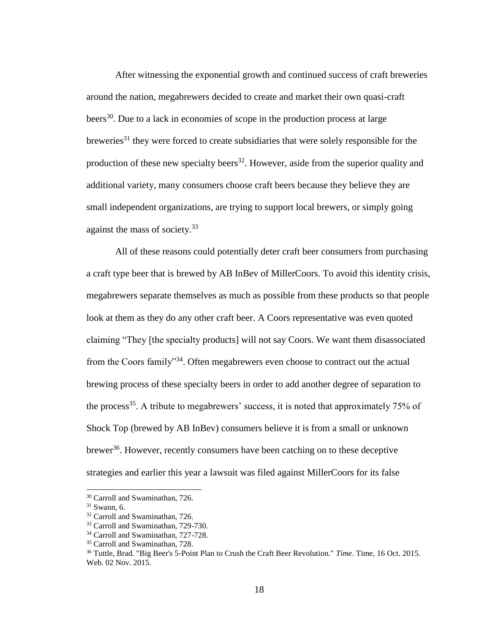After witnessing the exponential growth and continued success of craft breweries around the nation, megabrewers decided to create and market their own quasi-craft beers<sup>30</sup>. Due to a lack in economies of scope in the production process at large breweries<sup>31</sup> they were forced to create subsidiaries that were solely responsible for the production of these new specialty beers<sup>32</sup>. However, aside from the superior quality and additional variety, many consumers choose craft beers because they believe they are small independent organizations, are trying to support local brewers, or simply going against the mass of society.<sup>33</sup>

All of these reasons could potentially deter craft beer consumers from purchasing a craft type beer that is brewed by AB InBev of MillerCoors. To avoid this identity crisis, megabrewers separate themselves as much as possible from these products so that people look at them as they do any other craft beer. A Coors representative was even quoted claiming "They [the specialty products] will not say Coors. We want them disassociated from the Coors family"<sup>34</sup>. Often megabrewers even choose to contract out the actual brewing process of these specialty beers in order to add another degree of separation to the process<sup>35</sup>. A tribute to megabrewers' success, it is noted that approximately  $75\%$  of Shock Top (brewed by AB InBev) consumers believe it is from a small or unknown brewer<sup>36</sup>. However, recently consumers have been catching on to these deceptive strategies and earlier this year a lawsuit was filed against MillerCoors for its false

 $\overline{a}$ 

<sup>30</sup> Carroll and Swaminathan, 726.

 $31$  Swann, 6.

<sup>32</sup> Carroll and Swaminathan, 726.

<sup>&</sup>lt;sup>33</sup> Carroll and Swaminathan, 729-730.

<sup>&</sup>lt;sup>34</sup> Carroll and Swaminathan, 727-728.

<sup>&</sup>lt;sup>35</sup> Carroll and Swaminathan, 728.

<sup>36</sup> Tuttle, Brad. "Big Beer's 5-Point Plan to Crush the Craft Beer Revolution." *Time*. Time, 16 Oct. 2015. Web. 02 Nov. 2015.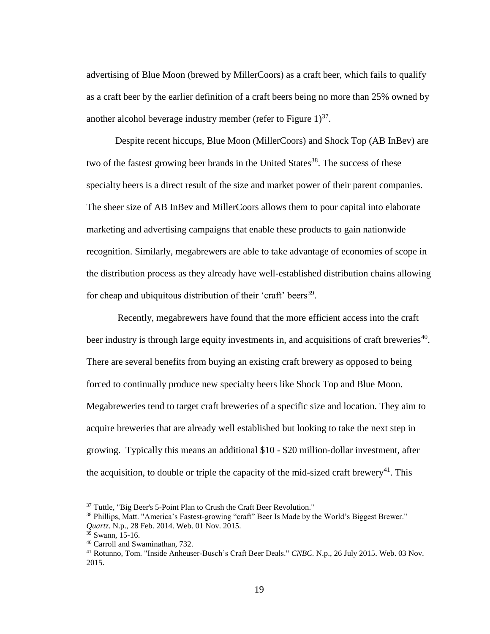advertising of Blue Moon (brewed by MillerCoors) as a craft beer, which fails to qualify as a craft beer by the earlier definition of a craft beers being no more than 25% owned by another alcohol beverage industry member (refer to Figure  $1<sup>37</sup>$ .

Despite recent hiccups, Blue Moon (MillerCoors) and Shock Top (AB InBev) are two of the fastest growing beer brands in the United States<sup>38</sup>. The success of these specialty beers is a direct result of the size and market power of their parent companies. The sheer size of AB InBev and MillerCoors allows them to pour capital into elaborate marketing and advertising campaigns that enable these products to gain nationwide recognition. Similarly, megabrewers are able to take advantage of economies of scope in the distribution process as they already have well-established distribution chains allowing for cheap and ubiquitous distribution of their 'craft' beers<sup>39</sup>.

Recently, megabrewers have found that the more efficient access into the craft beer industry is through large equity investments in, and acquisitions of craft breweries<sup>40</sup>. There are several benefits from buying an existing craft brewery as opposed to being forced to continually produce new specialty beers like Shock Top and Blue Moon. Megabreweries tend to target craft breweries of a specific size and location. They aim to acquire breweries that are already well established but looking to take the next step in growing. Typically this means an additional \$10 - \$20 million-dollar investment, after the acquisition, to double or triple the capacity of the mid-sized craft brewery<sup>41</sup>. This

<sup>&</sup>lt;sup>37</sup> Tuttle, "Big Beer's 5-Point Plan to Crush the Craft Beer Revolution."

<sup>38</sup> Phillips, Matt. "America's Fastest-growing "craft" Beer Is Made by the World's Biggest Brewer." *Quartz*. N.p., 28 Feb. 2014. Web. 01 Nov. 2015.

<sup>39</sup> Swann, 15-16.

<sup>40</sup> Carroll and Swaminathan, 732.

<sup>41</sup> Rotunno, Tom. "Inside Anheuser-Busch's Craft Beer Deals." *CNBC*. N.p., 26 July 2015. Web. 03 Nov. 2015.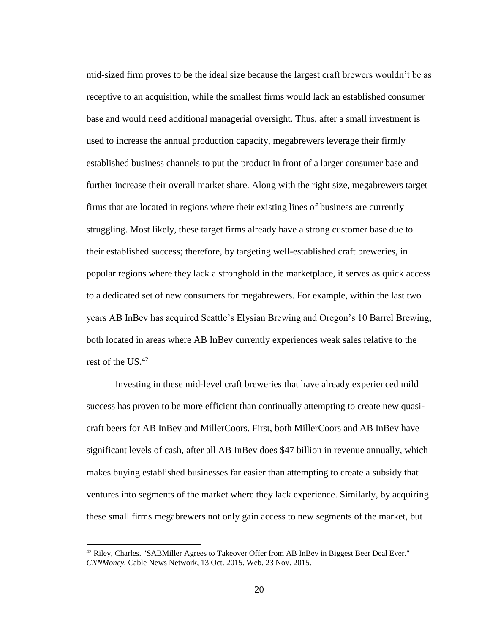mid-sized firm proves to be the ideal size because the largest craft brewers wouldn't be as receptive to an acquisition, while the smallest firms would lack an established consumer base and would need additional managerial oversight. Thus, after a small investment is used to increase the annual production capacity, megabrewers leverage their firmly established business channels to put the product in front of a larger consumer base and further increase their overall market share. Along with the right size, megabrewers target firms that are located in regions where their existing lines of business are currently struggling. Most likely, these target firms already have a strong customer base due to their established success; therefore, by targeting well-established craft breweries, in popular regions where they lack a stronghold in the marketplace, it serves as quick access to a dedicated set of new consumers for megabrewers. For example, within the last two years AB InBev has acquired Seattle's Elysian Brewing and Oregon's 10 Barrel Brewing, both located in areas where AB InBev currently experiences weak sales relative to the rest of the US.<sup>42</sup>

Investing in these mid-level craft breweries that have already experienced mild success has proven to be more efficient than continually attempting to create new quasicraft beers for AB InBev and MillerCoors. First, both MillerCoors and AB InBev have significant levels of cash, after all AB InBev does \$47 billion in revenue annually, which makes buying established businesses far easier than attempting to create a subsidy that ventures into segments of the market where they lack experience. Similarly, by acquiring these small firms megabrewers not only gain access to new segments of the market, but

 $\overline{a}$ 

<sup>&</sup>lt;sup>42</sup> Riley, Charles. "SABMiller Agrees to Takeover Offer from AB InBev in Biggest Beer Deal Ever." *CNNMoney.* Cable News Network, 13 Oct. 2015. Web. 23 Nov. 2015.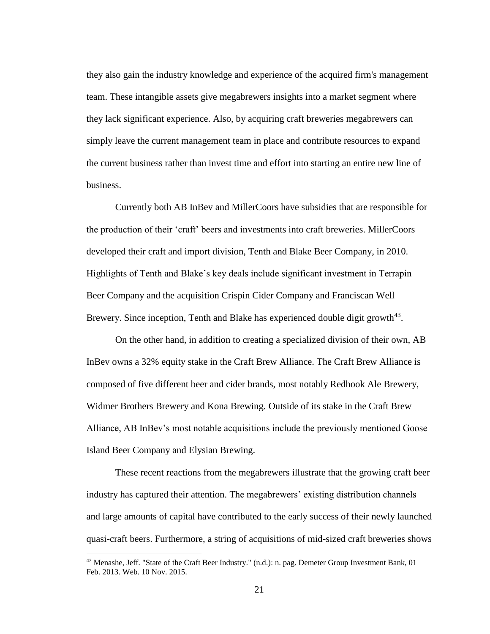they also gain the industry knowledge and experience of the acquired firm's management team. These intangible assets give megabrewers insights into a market segment where they lack significant experience. Also, by acquiring craft breweries megabrewers can simply leave the current management team in place and contribute resources to expand the current business rather than invest time and effort into starting an entire new line of business.

Currently both AB InBev and MillerCoors have subsidies that are responsible for the production of their 'craft' beers and investments into craft breweries. MillerCoors developed their craft and import division, Tenth and Blake Beer Company, in 2010. Highlights of Tenth and Blake's key deals include significant investment in Terrapin Beer Company and the acquisition Crispin Cider Company and Franciscan Well Brewery. Since inception, Tenth and Blake has experienced double digit growth $43$ .

On the other hand, in addition to creating a specialized division of their own, AB InBev owns a 32% equity stake in the Craft Brew Alliance. The Craft Brew Alliance is composed of five different beer and cider brands, most notably Redhook Ale Brewery, Widmer Brothers Brewery and Kona Brewing. Outside of its stake in the Craft Brew Alliance, AB InBev's most notable acquisitions include the previously mentioned Goose Island Beer Company and Elysian Brewing.

These recent reactions from the megabrewers illustrate that the growing craft beer industry has captured their attention. The megabrewers' existing distribution channels and large amounts of capital have contributed to the early success of their newly launched quasi-craft beers. Furthermore, a string of acquisitions of mid-sized craft breweries shows

 $43$  Menashe, Jeff. "State of the Craft Beer Industry." (n.d.): n. pag. Demeter Group Investment Bank, 01 Feb. 2013. Web. 10 Nov. 2015.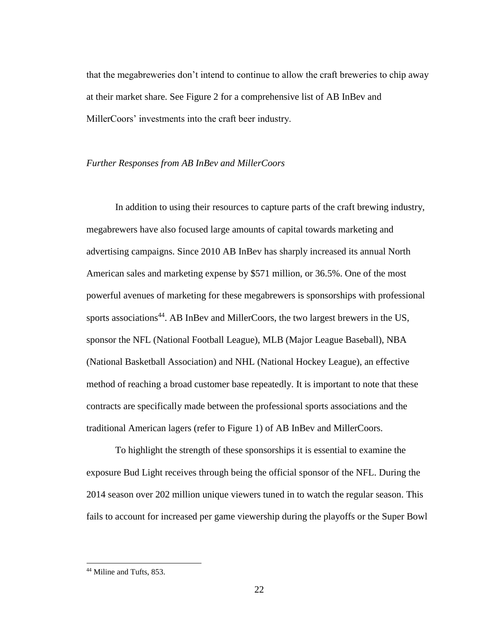that the megabreweries don't intend to continue to allow the craft breweries to chip away at their market share. See Figure 2 for a comprehensive list of AB InBev and MillerCoors' investments into the craft beer industry.

#### *Further Responses from AB InBev and MillerCoors*

In addition to using their resources to capture parts of the craft brewing industry, megabrewers have also focused large amounts of capital towards marketing and advertising campaigns. Since 2010 AB InBev has sharply increased its annual North American sales and marketing expense by \$571 million, or 36.5%. One of the most powerful avenues of marketing for these megabrewers is sponsorships with professional sports associations<sup>44</sup>. AB InBev and MillerCoors, the two largest brewers in the US, sponsor the NFL (National Football League), MLB (Major League Baseball), NBA (National Basketball Association) and NHL (National Hockey League), an effective method of reaching a broad customer base repeatedly. It is important to note that these contracts are specifically made between the professional sports associations and the traditional American lagers (refer to Figure 1) of AB InBev and MillerCoors.

To highlight the strength of these sponsorships it is essential to examine the exposure Bud Light receives through being the official sponsor of the NFL. During the 2014 season over 202 million unique viewers tuned in to watch the regular season. This fails to account for increased per game viewership during the playoffs or the Super Bowl

<sup>&</sup>lt;sup>44</sup> Miline and Tufts, 853.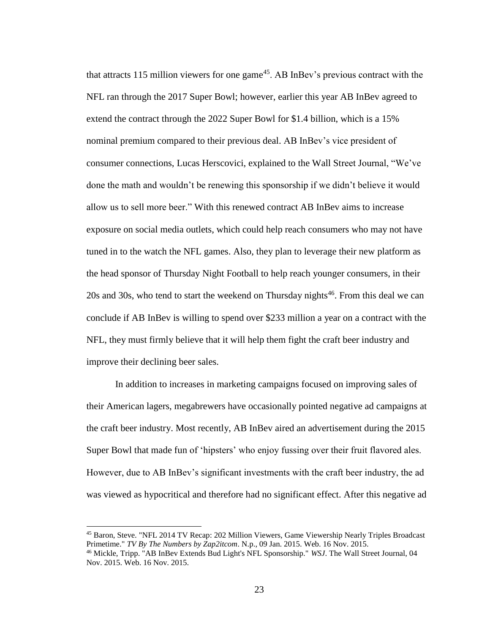that attracts 115 million viewers for one game<sup>45</sup>. AB InBev's previous contract with the NFL ran through the 2017 Super Bowl; however, earlier this year AB InBev agreed to extend the contract through the 2022 Super Bowl for \$1.4 billion, which is a 15% nominal premium compared to their previous deal. AB InBev's vice president of consumer connections, Lucas Herscovici, explained to the Wall Street Journal, "We've done the math and wouldn't be renewing this sponsorship if we didn't believe it would allow us to sell more beer." With this renewed contract AB InBev aims to increase exposure on social media outlets, which could help reach consumers who may not have tuned in to the watch the NFL games. Also, they plan to leverage their new platform as the head sponsor of Thursday Night Football to help reach younger consumers, in their  $20s$  and  $30s$ , who tend to start the weekend on Thursday nights<sup>46</sup>. From this deal we can conclude if AB InBev is willing to spend over \$233 million a year on a contract with the NFL, they must firmly believe that it will help them fight the craft beer industry and improve their declining beer sales.

In addition to increases in marketing campaigns focused on improving sales of their American lagers, megabrewers have occasionally pointed negative ad campaigns at the craft beer industry. Most recently, AB InBev aired an advertisement during the 2015 Super Bowl that made fun of 'hipsters' who enjoy fussing over their fruit flavored ales. However, due to AB InBev's significant investments with the craft beer industry, the ad was viewed as hypocritical and therefore had no significant effect. After this negative ad

<sup>45</sup> Baron, Steve. "NFL 2014 TV Recap: 202 Million Viewers, Game Viewership Nearly Triples Broadcast Primetime." *TV By The Numbers by Zap2itcom*. N.p., 09 Jan. 2015. Web. 16 Nov. 2015.

<sup>46</sup> Mickle, Tripp. "AB InBev Extends Bud Light's NFL Sponsorship." *WSJ*. The Wall Street Journal, 04 Nov. 2015. Web. 16 Nov. 2015.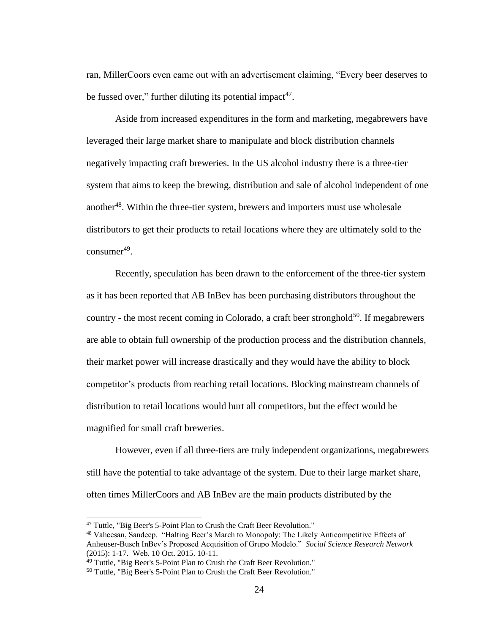ran, MillerCoors even came out with an advertisement claiming, "Every beer deserves to be fussed over," further diluting its potential impact<sup>47</sup>.

Aside from increased expenditures in the form and marketing, megabrewers have leveraged their large market share to manipulate and block distribution channels negatively impacting craft breweries. In the US alcohol industry there is a three-tier system that aims to keep the brewing, distribution and sale of alcohol independent of one another<sup>48</sup>. Within the three-tier system, brewers and importers must use wholesale distributors to get their products to retail locations where they are ultimately sold to the  $\text{consumer}^{49}$ .

Recently, speculation has been drawn to the enforcement of the three-tier system as it has been reported that AB InBev has been purchasing distributors throughout the country - the most recent coming in Colorado, a craft beer stronghold<sup>50</sup>. If megabrewers are able to obtain full ownership of the production process and the distribution channels, their market power will increase drastically and they would have the ability to block competitor's products from reaching retail locations. Blocking mainstream channels of distribution to retail locations would hurt all competitors, but the effect would be magnified for small craft breweries.

However, even if all three-tiers are truly independent organizations, megabrewers still have the potential to take advantage of the system. Due to their large market share, often times MillerCoors and AB InBev are the main products distributed by the

 $\overline{a}$ 

<sup>47</sup> Tuttle, "Big Beer's 5-Point Plan to Crush the Craft Beer Revolution."

<sup>48</sup> Vaheesan, Sandeep. "Halting Beer's March to Monopoly: The Likely Anticompetitive Effects of Anheuser-Busch InBev's Proposed Acquisition of Grupo Modelo." *Social Science Research Network*  (2015): 1-17. Web. 10 Oct. 2015. 10-11.

<sup>49</sup> Tuttle, "Big Beer's 5-Point Plan to Crush the Craft Beer Revolution."

<sup>50</sup> Tuttle, "Big Beer's 5-Point Plan to Crush the Craft Beer Revolution."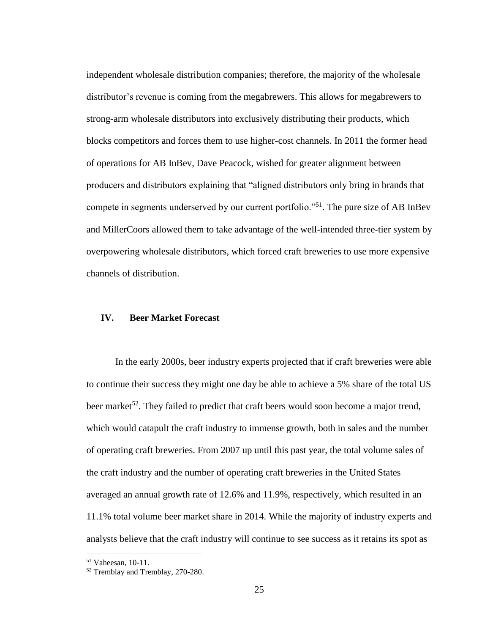independent wholesale distribution companies; therefore, the majority of the wholesale distributor's revenue is coming from the megabrewers. This allows for megabrewers to strong-arm wholesale distributors into exclusively distributing their products, which blocks competitors and forces them to use higher-cost channels. In 2011 the former head of operations for AB InBev, Dave Peacock, wished for greater alignment between producers and distributors explaining that "aligned distributors only bring in brands that compete in segments underserved by our current portfolio."<sup>51</sup>. The pure size of AB InBev and MillerCoors allowed them to take advantage of the well-intended three-tier system by overpowering wholesale distributors, which forced craft breweries to use more expensive channels of distribution.

# **IV. Beer Market Forecast**

In the early 2000s, beer industry experts projected that if craft breweries were able to continue their success they might one day be able to achieve a 5% share of the total US beer market<sup>52</sup>. They failed to predict that craft beers would soon become a major trend, which would catapult the craft industry to immense growth, both in sales and the number of operating craft breweries. From 2007 up until this past year, the total volume sales of the craft industry and the number of operating craft breweries in the United States averaged an annual growth rate of 12.6% and 11.9%, respectively, which resulted in an 11.1% total volume beer market share in 2014. While the majority of industry experts and analysts believe that the craft industry will continue to see success as it retains its spot as

<sup>51</sup> Vaheesan, 10-11.

<sup>52</sup> Tremblay and Tremblay, 270-280.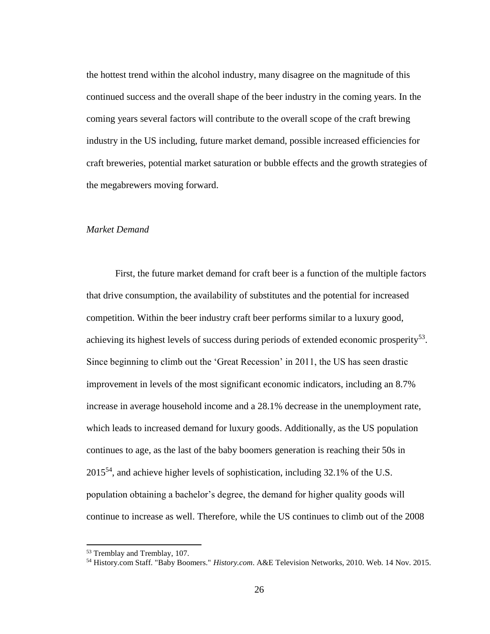the hottest trend within the alcohol industry, many disagree on the magnitude of this continued success and the overall shape of the beer industry in the coming years. In the coming years several factors will contribute to the overall scope of the craft brewing industry in the US including, future market demand, possible increased efficiencies for craft breweries, potential market saturation or bubble effects and the growth strategies of the megabrewers moving forward.

# *Market Demand*

First, the future market demand for craft beer is a function of the multiple factors that drive consumption, the availability of substitutes and the potential for increased competition. Within the beer industry craft beer performs similar to a luxury good, achieving its highest levels of success during periods of extended economic prosperity<sup>53</sup>. Since beginning to climb out the 'Great Recession' in 2011, the US has seen drastic improvement in levels of the most significant economic indicators, including an 8.7% increase in average household income and a 28.1% decrease in the unemployment rate, which leads to increased demand for luxury goods. Additionally, as the US population continues to age, as the last of the baby boomers generation is reaching their 50s in  $2015^{54}$ , and achieve higher levels of sophistication, including 32.1% of the U.S. population obtaining a bachelor's degree, the demand for higher quality goods will continue to increase as well. Therefore, while the US continues to climb out of the 2008

 $\overline{a}$ 

<sup>53</sup> Tremblay and Tremblay, 107.

<sup>54</sup> History.com Staff. "Baby Boomers." *History.com*. A&E Television Networks, 2010. Web. 14 Nov. 2015.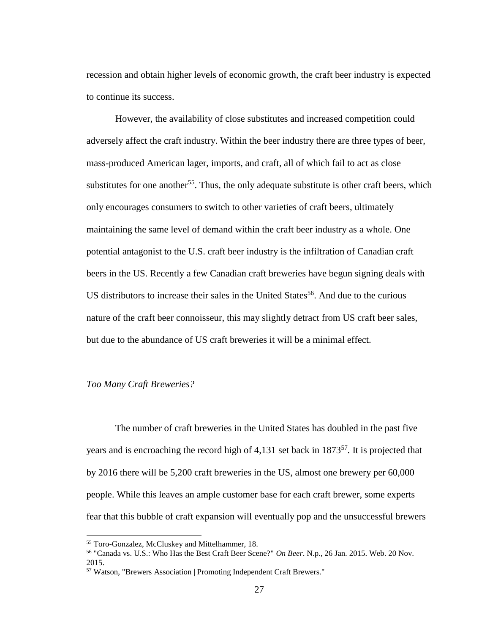recession and obtain higher levels of economic growth, the craft beer industry is expected to continue its success.

However, the availability of close substitutes and increased competition could adversely affect the craft industry. Within the beer industry there are three types of beer, mass-produced American lager, imports, and craft, all of which fail to act as close substitutes for one another<sup>55</sup>. Thus, the only adequate substitute is other craft beers, which only encourages consumers to switch to other varieties of craft beers, ultimately maintaining the same level of demand within the craft beer industry as a whole. One potential antagonist to the U.S. craft beer industry is the infiltration of Canadian craft beers in the US. Recently a few Canadian craft breweries have begun signing deals with US distributors to increase their sales in the United States<sup>56</sup>. And due to the curious nature of the craft beer connoisseur, this may slightly detract from US craft beer sales, but due to the abundance of US craft breweries it will be a minimal effect.

#### *Too Many Craft Breweries?*

The number of craft breweries in the United States has doubled in the past five years and is encroaching the record high of 4,131 set back in 1873<sup>57</sup>. It is projected that by 2016 there will be 5,200 craft breweries in the US, almost one brewery per 60,000 people. While this leaves an ample customer base for each craft brewer, some experts fear that this bubble of craft expansion will eventually pop and the unsuccessful brewers

<sup>55</sup> Toro-Gonzalez, McCluskey and Mittelhammer, 18.

<sup>56</sup> "Canada vs. U.S.: Who Has the Best Craft Beer Scene?" *On Beer*. N.p., 26 Jan. 2015. Web. 20 Nov. 2015.

<sup>57</sup> Watson, "Brewers Association | Promoting Independent Craft Brewers."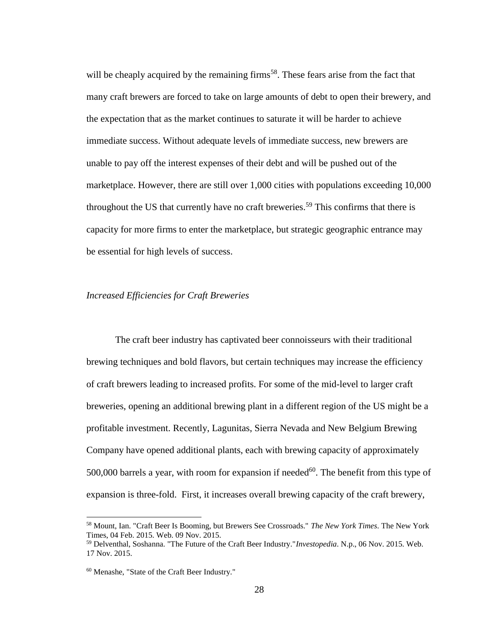will be cheaply acquired by the remaining firms<sup>58</sup>. These fears arise from the fact that many craft brewers are forced to take on large amounts of debt to open their brewery, and the expectation that as the market continues to saturate it will be harder to achieve immediate success. Without adequate levels of immediate success, new brewers are unable to pay off the interest expenses of their debt and will be pushed out of the marketplace. However, there are still over 1,000 cities with populations exceeding 10,000 throughout the US that currently have no craft breweries.<sup>59</sup> This confirms that there is capacity for more firms to enter the marketplace, but strategic geographic entrance may be essential for high levels of success.

#### *Increased Efficiencies for Craft Breweries*

The craft beer industry has captivated beer connoisseurs with their traditional brewing techniques and bold flavors, but certain techniques may increase the efficiency of craft brewers leading to increased profits. For some of the mid-level to larger craft breweries, opening an additional brewing plant in a different region of the US might be a profitable investment. Recently, Lagunitas, Sierra Nevada and New Belgium Brewing Company have opened additional plants, each with brewing capacity of approximately 500,000 barrels a year, with room for expansion if needed<sup>60</sup>. The benefit from this type of expansion is three-fold. First, it increases overall brewing capacity of the craft brewery,

 $\overline{a}$ 

<sup>58</sup> Mount, Ian. "Craft Beer Is Booming, but Brewers See Crossroads." *The New York Times*. The New York Times, 04 Feb. 2015. Web. 09 Nov. 2015.

<sup>59</sup> Delventhal, Soshanna. "The Future of the Craft Beer Industry."*Investopedia*. N.p., 06 Nov. 2015. Web. 17 Nov. 2015.

<sup>60</sup> Menashe, "State of the Craft Beer Industry."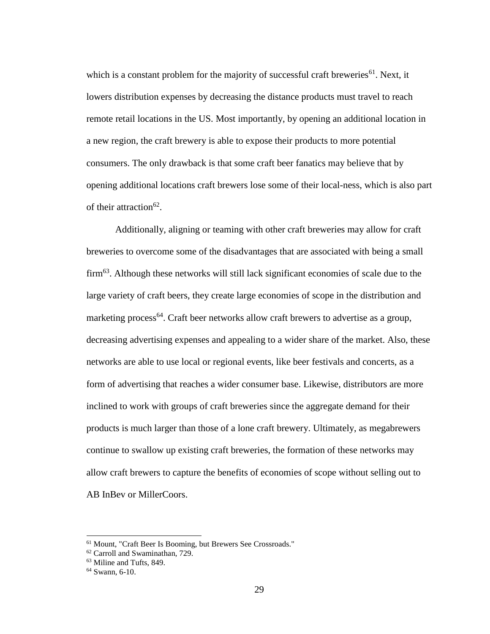which is a constant problem for the majority of successful craft breweries<sup>61</sup>. Next, it lowers distribution expenses by decreasing the distance products must travel to reach remote retail locations in the US. Most importantly, by opening an additional location in a new region, the craft brewery is able to expose their products to more potential consumers. The only drawback is that some craft beer fanatics may believe that by opening additional locations craft brewers lose some of their local-ness, which is also part of their attraction<sup>62</sup>.

Additionally, aligning or teaming with other craft breweries may allow for craft breweries to overcome some of the disadvantages that are associated with being a small firm<sup>63</sup>. Although these networks will still lack significant economies of scale due to the large variety of craft beers, they create large economies of scope in the distribution and marketing process<sup>64</sup>. Craft beer networks allow craft brewers to advertise as a group, decreasing advertising expenses and appealing to a wider share of the market. Also, these networks are able to use local or regional events, like beer festivals and concerts, as a form of advertising that reaches a wider consumer base. Likewise, distributors are more inclined to work with groups of craft breweries since the aggregate demand for their products is much larger than those of a lone craft brewery. Ultimately, as megabrewers continue to swallow up existing craft breweries, the formation of these networks may allow craft brewers to capture the benefits of economies of scope without selling out to AB InBev or MillerCoors.

<sup>61</sup> Mount, "Craft Beer Is Booming, but Brewers See Crossroads."

<sup>62</sup> Carroll and Swaminathan, 729.

<sup>63</sup> Miline and Tufts, 849.

 $64$  Swann, 6-10.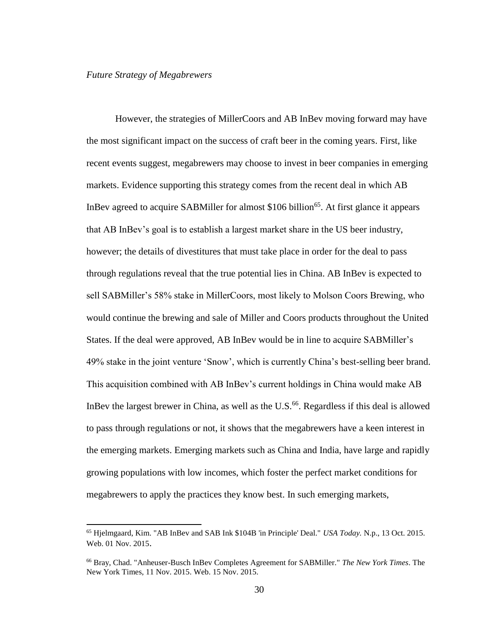#### *Future Strategy of Megabrewers*

However, the strategies of MillerCoors and AB InBev moving forward may have the most significant impact on the success of craft beer in the coming years. First, like recent events suggest, megabrewers may choose to invest in beer companies in emerging markets. Evidence supporting this strategy comes from the recent deal in which AB InBev agreed to acquire SABMiller for almost \$106 billion<sup>65</sup>. At first glance it appears that AB InBev's goal is to establish a largest market share in the US beer industry, however; the details of divestitures that must take place in order for the deal to pass through regulations reveal that the true potential lies in China. AB InBev is expected to sell SABMiller's 58% stake in MillerCoors, most likely to Molson Coors Brewing, who would continue the brewing and sale of Miller and Coors products throughout the United States. If the deal were approved, AB InBev would be in line to acquire SABMiller's 49% stake in the joint venture 'Snow', which is currently China's best-selling beer brand. This acquisition combined with AB InBev's current holdings in China would make AB InBev the largest brewer in China, as well as the U.S.<sup>66</sup>. Regardless if this deal is allowed to pass through regulations or not, it shows that the megabrewers have a keen interest in the emerging markets. Emerging markets such as China and India, have large and rapidly growing populations with low incomes, which foster the perfect market conditions for megabrewers to apply the practices they know best. In such emerging markets,

<sup>65</sup> Hjelmgaard, Kim. "AB InBev and SAB Ink \$104B 'in Principle' Deal." *USA Today.* N.p., 13 Oct. 2015. Web. 01 Nov. 2015.

<sup>66</sup> Bray, Chad. "Anheuser-Busch InBev Completes Agreement for SABMiller." *The New York Times*. The New York Times, 11 Nov. 2015. Web. 15 Nov. 2015.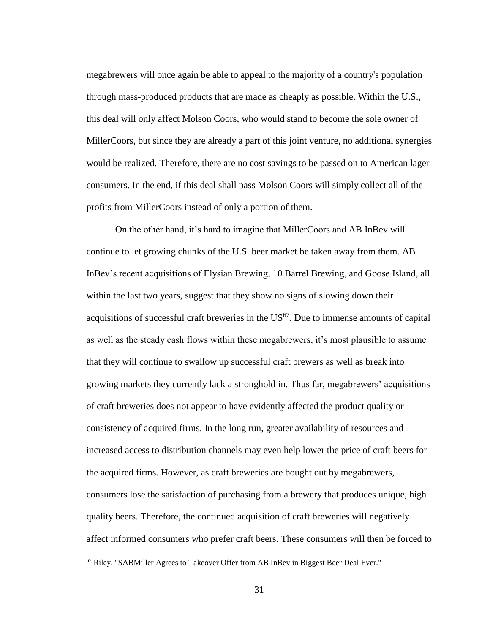megabrewers will once again be able to appeal to the majority of a country's population through mass-produced products that are made as cheaply as possible. Within the U.S., this deal will only affect Molson Coors, who would stand to become the sole owner of MillerCoors, but since they are already a part of this joint venture, no additional synergies would be realized. Therefore, there are no cost savings to be passed on to American lager consumers. In the end, if this deal shall pass Molson Coors will simply collect all of the profits from MillerCoors instead of only a portion of them.

On the other hand, it's hard to imagine that MillerCoors and AB InBev will continue to let growing chunks of the U.S. beer market be taken away from them. AB InBev's recent acquisitions of Elysian Brewing, 10 Barrel Brewing, and Goose Island, all within the last two years, suggest that they show no signs of slowing down their acquisitions of successful craft breweries in the US<sup>67</sup>. Due to immense amounts of capital as well as the steady cash flows within these megabrewers, it's most plausible to assume that they will continue to swallow up successful craft brewers as well as break into growing markets they currently lack a stronghold in. Thus far, megabrewers' acquisitions of craft breweries does not appear to have evidently affected the product quality or consistency of acquired firms. In the long run, greater availability of resources and increased access to distribution channels may even help lower the price of craft beers for the acquired firms. However, as craft breweries are bought out by megabrewers, consumers lose the satisfaction of purchasing from a brewery that produces unique, high quality beers. Therefore, the continued acquisition of craft breweries will negatively affect informed consumers who prefer craft beers. These consumers will then be forced to 

<sup>67</sup> Riley, "SABMiller Agrees to Takeover Offer from AB InBev in Biggest Beer Deal Ever."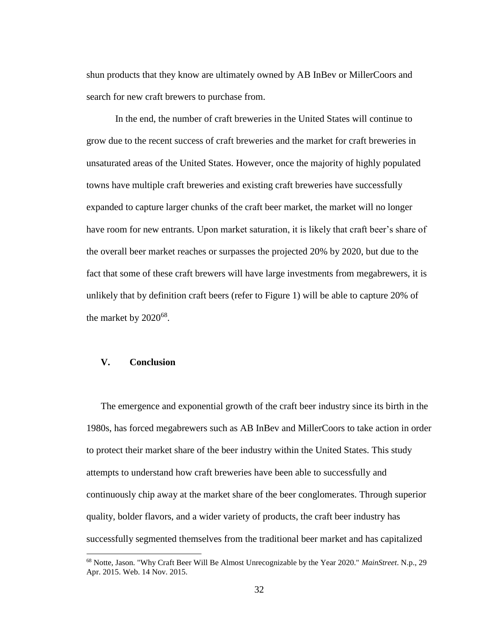shun products that they know are ultimately owned by AB InBev or MillerCoors and search for new craft brewers to purchase from.

In the end, the number of craft breweries in the United States will continue to grow due to the recent success of craft breweries and the market for craft breweries in unsaturated areas of the United States. However, once the majority of highly populated towns have multiple craft breweries and existing craft breweries have successfully expanded to capture larger chunks of the craft beer market, the market will no longer have room for new entrants. Upon market saturation, it is likely that craft beer's share of the overall beer market reaches or surpasses the projected 20% by 2020, but due to the fact that some of these craft brewers will have large investments from megabrewers, it is unlikely that by definition craft beers (refer to Figure 1) will be able to capture 20% of the market by  $2020^{68}$ .

# **V. Conclusion**

The emergence and exponential growth of the craft beer industry since its birth in the 1980s, has forced megabrewers such as AB InBev and MillerCoors to take action in order to protect their market share of the beer industry within the United States. This study attempts to understand how craft breweries have been able to successfully and continuously chip away at the market share of the beer conglomerates. Through superior quality, bolder flavors, and a wider variety of products, the craft beer industry has successfully segmented themselves from the traditional beer market and has capitalized

<sup>68</sup> Notte, Jason. "Why Craft Beer Will Be Almost Unrecognizable by the Year 2020." *MainStreet*. N.p., 29 Apr. 2015. Web. 14 Nov. 2015.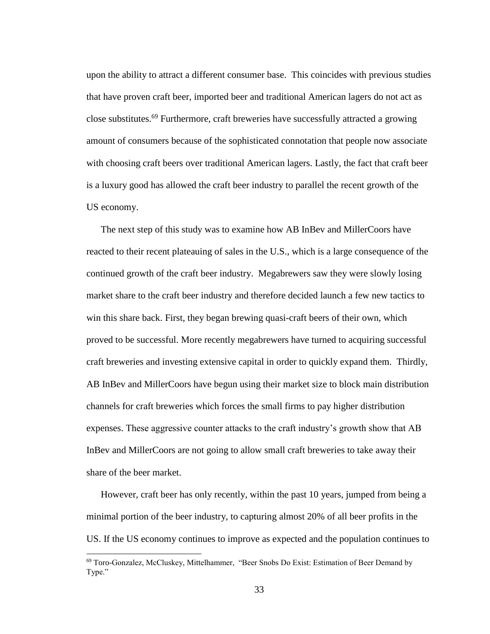upon the ability to attract a different consumer base. This coincides with previous studies that have proven craft beer, imported beer and traditional American lagers do not act as close substitutes.<sup>69</sup> Furthermore, craft breweries have successfully attracted a growing amount of consumers because of the sophisticated connotation that people now associate with choosing craft beers over traditional American lagers. Lastly, the fact that craft beer is a luxury good has allowed the craft beer industry to parallel the recent growth of the US economy.

The next step of this study was to examine how AB InBev and MillerCoors have reacted to their recent plateauing of sales in the U.S., which is a large consequence of the continued growth of the craft beer industry. Megabrewers saw they were slowly losing market share to the craft beer industry and therefore decided launch a few new tactics to win this share back. First, they began brewing quasi-craft beers of their own, which proved to be successful. More recently megabrewers have turned to acquiring successful craft breweries and investing extensive capital in order to quickly expand them. Thirdly, AB InBev and MillerCoors have begun using their market size to block main distribution channels for craft breweries which forces the small firms to pay higher distribution expenses. These aggressive counter attacks to the craft industry's growth show that AB InBev and MillerCoors are not going to allow small craft breweries to take away their share of the beer market.

However, craft beer has only recently, within the past 10 years, jumped from being a minimal portion of the beer industry, to capturing almost 20% of all beer profits in the US. If the US economy continues to improve as expected and the population continues to

<sup>69</sup> Toro-Gonzalez, McCluskey, Mittelhammer, "Beer Snobs Do Exist: Estimation of Beer Demand by Type."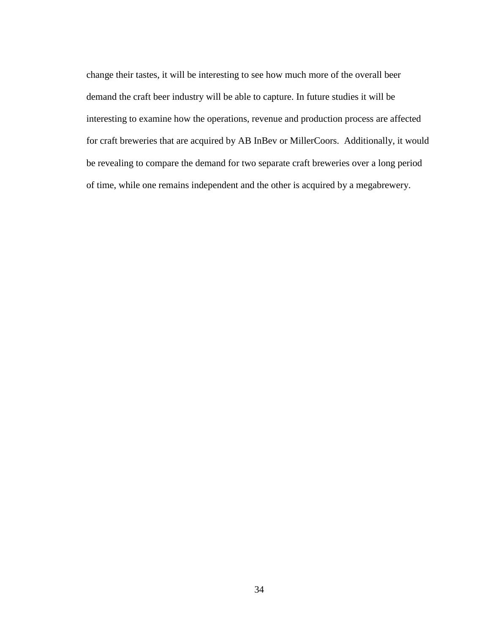change their tastes, it will be interesting to see how much more of the overall beer demand the craft beer industry will be able to capture. In future studies it will be interesting to examine how the operations, revenue and production process are affected for craft breweries that are acquired by AB InBev or MillerCoors. Additionally, it would be revealing to compare the demand for two separate craft breweries over a long period of time, while one remains independent and the other is acquired by a megabrewery.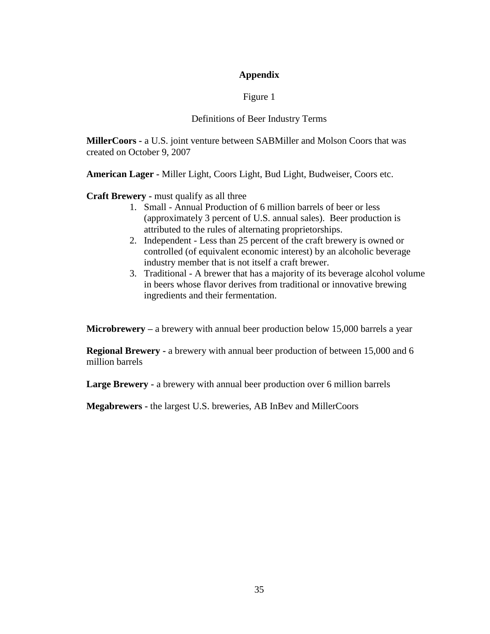# **Appendix**

# Figure 1

# Definitions of Beer Industry Terms

**MillerCoors -** a U.S. joint venture between SABMiller and Molson Coors that was created on October 9, 2007

**American Lager -** Miller Light, Coors Light, Bud Light, Budweiser, Coors etc.

**Craft Brewery -** must qualify as all three

- 1. Small Annual Production of 6 million barrels of beer or less (approximately 3 percent of U.S. annual sales). Beer production is attributed to the rules of alternating proprietorships.
- 2. Independent Less than 25 percent of the craft brewery is owned or controlled (of equivalent economic interest) by an alcoholic beverage industry member that is not itself a craft brewer.
- 3. Traditional A brewer that has a majority of its beverage alcohol volume in beers whose flavor derives from traditional or innovative brewing ingredients and their fermentation.

**Microbrewery –** a brewery with annual beer production below 15,000 barrels a year

**Regional Brewery -** a brewery with annual beer production of between 15,000 and 6 million barrels

**Large Brewery -** a brewery with annual beer production over 6 million barrels

**Megabrewers -** the largest U.S. breweries, AB InBev and MillerCoors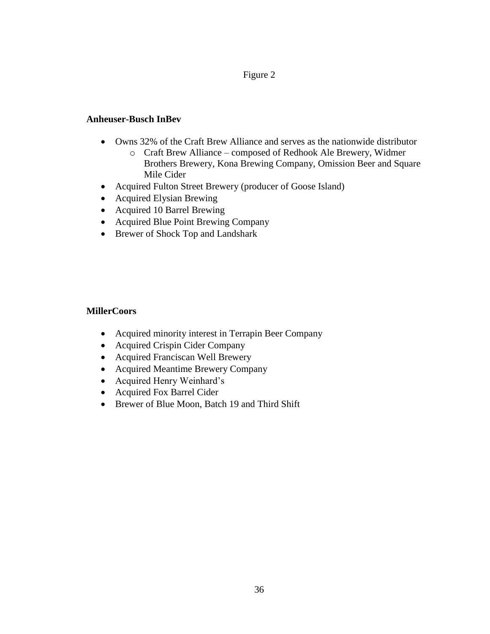# Figure 2

# **Anheuser-Busch InBev**

- Owns 32% of the Craft Brew Alliance and serves as the nationwide distributor
	- o Craft Brew Alliance composed of Redhook Ale Brewery, Widmer Brothers Brewery, Kona Brewing Company, Omission Beer and Square Mile Cider
- Acquired Fulton Street Brewery (producer of Goose Island)
- Acquired Elysian Brewing
- Acquired 10 Barrel Brewing
- Acquired Blue Point Brewing Company
- Brewer of Shock Top and Landshark

# **MillerCoors**

- Acquired minority interest in Terrapin Beer Company
- Acquired Crispin Cider Company
- Acquired Franciscan Well Brewery
- Acquired Meantime Brewery Company
- Acquired Henry Weinhard's
- Acquired Fox Barrel Cider
- Brewer of Blue Moon, Batch 19 and Third Shift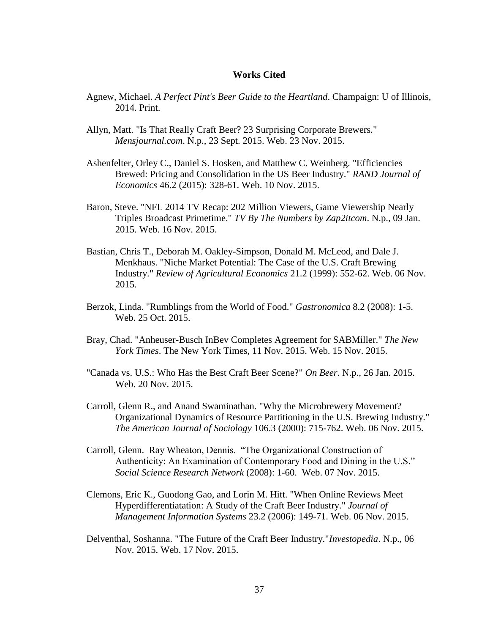#### **Works Cited**

- Agnew, Michael. *A Perfect Pint's Beer Guide to the Heartland*. Champaign: U of Illinois, 2014. Print.
- Allyn, Matt. "Is That Really Craft Beer? 23 Surprising Corporate Brewers." *Mensjournal.com*. N.p., 23 Sept. 2015. Web. 23 Nov. 2015.
- Ashenfelter, Orley C., Daniel S. Hosken, and Matthew C. Weinberg. "Efficiencies Brewed: Pricing and Consolidation in the US Beer Industry." *RAND Journal of Economics* 46.2 (2015): 328-61. Web. 10 Nov. 2015.
- Baron, Steve. "NFL 2014 TV Recap: 202 Million Viewers, Game Viewership Nearly Triples Broadcast Primetime." *TV By The Numbers by Zap2itcom*. N.p., 09 Jan. 2015. Web. 16 Nov. 2015.
- Bastian, Chris T., Deborah M. Oakley-Simpson, Donald M. McLeod, and Dale J. Menkhaus. "Niche Market Potential: The Case of the U.S. Craft Brewing Industry." *Review of Agricultural Economics* 21.2 (1999): 552-62. Web. 06 Nov. 2015.
- Berzok, Linda. "Rumblings from the World of Food." *Gastronomica* 8.2 (2008): 1-5. Web. 25 Oct. 2015.
- Bray, Chad. "Anheuser-Busch InBev Completes Agreement for SABMiller." *The New York Times*. The New York Times, 11 Nov. 2015. Web. 15 Nov. 2015.
- "Canada vs. U.S.: Who Has the Best Craft Beer Scene?" *On Beer*. N.p., 26 Jan. 2015. Web. 20 Nov. 2015.
- Carroll, Glenn R., and Anand Swaminathan. "Why the Microbrewery Movement? Organizational Dynamics of Resource Partitioning in the U.S. Brewing Industry." *The American Journal of Sociology* 106.3 (2000): 715-762. Web. 06 Nov. 2015.
- Carroll, Glenn. Ray Wheaton, Dennis. "The Organizational Construction of Authenticity: An Examination of Contemporary Food and Dining in the U.S." *Social Science Research Network* (2008): 1-60. Web. 07 Nov. 2015.
- Clemons, Eric K., Guodong Gao, and Lorin M. Hitt. "When Online Reviews Meet Hyperdifferentiatation: A Study of the Craft Beer Industry." *Journal of Management Information Systems* 23.2 (2006): 149-71. Web. 06 Nov. 2015.
- Delventhal, Soshanna. "The Future of the Craft Beer Industry."*Investopedia*. N.p., 06 Nov. 2015. Web. 17 Nov. 2015.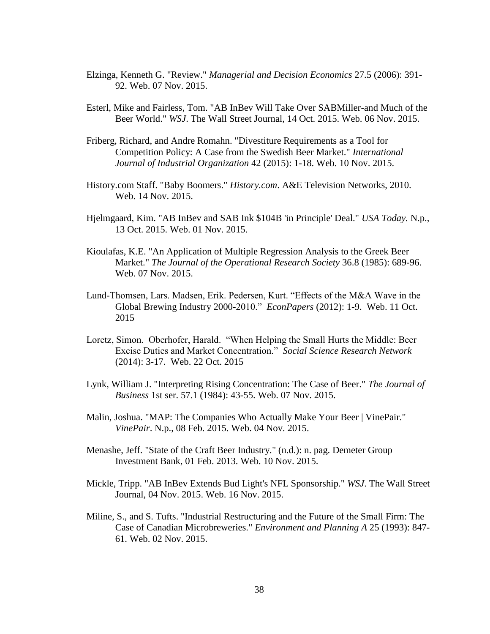- Elzinga, Kenneth G. "Review." *Managerial and Decision Economics* 27.5 (2006): 391- 92. Web. 07 Nov. 2015.
- Esterl, Mike and Fairless, Tom. "AB InBev Will Take Over SABMiller-and Much of the Beer World." *WSJ*. The Wall Street Journal, 14 Oct. 2015. Web. 06 Nov. 2015.
- Friberg, Richard, and Andre Romahn. "Divestiture Requirements as a Tool for Competition Policy: A Case from the Swedish Beer Market." *International Journal of Industrial Organization* 42 (2015): 1-18. Web. 10 Nov. 2015.
- History.com Staff. "Baby Boomers." *History.com*. A&E Television Networks, 2010. Web. 14 Nov. 2015.
- Hjelmgaard, Kim. "AB InBev and SAB Ink \$104B 'in Principle' Deal." *USA Today.* N.p., 13 Oct. 2015. Web. 01 Nov. 2015.
- Kioulafas, K.E. "An Application of Multiple Regression Analysis to the Greek Beer Market." *The Journal of the Operational Research Society* 36.8 (1985): 689-96. Web. 07 Nov. 2015.
- Lund-Thomsen, Lars. Madsen, Erik. Pedersen, Kurt. "Effects of the M&A Wave in the Global Brewing Industry 2000-2010." *EconPapers* (2012): 1-9. Web. 11 Oct. 2015
- Loretz, Simon. Oberhofer, Harald. "When Helping the Small Hurts the Middle: Beer Excise Duties and Market Concentration." *Social Science Research Network*  (2014): 3-17. Web. 22 Oct. 2015
- Lynk, William J. "Interpreting Rising Concentration: The Case of Beer." *The Journal of Business* 1st ser. 57.1 (1984): 43-55. Web. 07 Nov. 2015.
- Malin, Joshua. "MAP: The Companies Who Actually Make Your Beer | VinePair." *VinePair*. N.p., 08 Feb. 2015. Web. 04 Nov. 2015.
- Menashe, Jeff. "State of the Craft Beer Industry." (n.d.): n. pag. Demeter Group Investment Bank, 01 Feb. 2013. Web. 10 Nov. 2015.
- Mickle, Tripp. "AB InBev Extends Bud Light's NFL Sponsorship." *WSJ*. The Wall Street Journal, 04 Nov. 2015. Web. 16 Nov. 2015.
- Miline, S., and S. Tufts. "Industrial Restructuring and the Future of the Small Firm: The Case of Canadian Microbreweries." *Environment and Planning A* 25 (1993): 847- 61. Web. 02 Nov. 2015.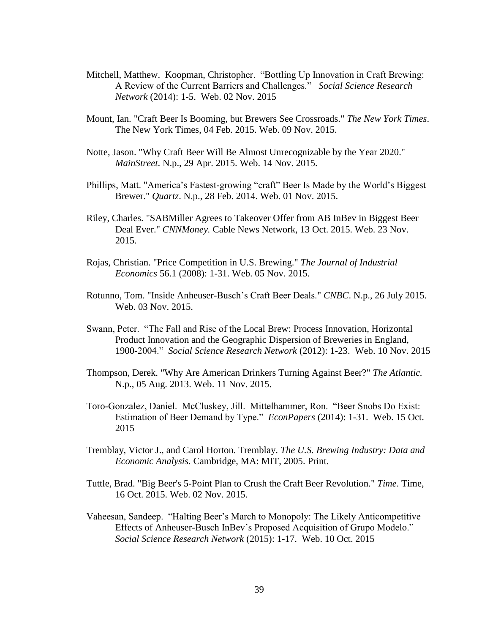- Mitchell, Matthew. Koopman, Christopher. "Bottling Up Innovation in Craft Brewing: A Review of the Current Barriers and Challenges." *Social Science Research Network* (2014): 1-5. Web. 02 Nov. 2015
- Mount, Ian. "Craft Beer Is Booming, but Brewers See Crossroads." *The New York Times*. The New York Times, 04 Feb. 2015. Web. 09 Nov. 2015.
- Notte, Jason. "Why Craft Beer Will Be Almost Unrecognizable by the Year 2020." *MainStreet*. N.p., 29 Apr. 2015. Web. 14 Nov. 2015.
- Phillips, Matt. "America's Fastest-growing "craft" Beer Is Made by the World's Biggest Brewer." *Quartz*. N.p., 28 Feb. 2014. Web. 01 Nov. 2015.
- Riley, Charles. "SABMiller Agrees to Takeover Offer from AB InBev in Biggest Beer Deal Ever." *CNNMoney.* Cable News Network, 13 Oct. 2015. Web. 23 Nov. 2015.
- Rojas, Christian. "Price Competition in U.S. Brewing." *The Journal of Industrial Economics* 56.1 (2008): 1-31. Web. 05 Nov. 2015.
- Rotunno, Tom. "Inside Anheuser-Busch's Craft Beer Deals." *CNBC*. N.p., 26 July 2015. Web. 03 Nov. 2015.
- Swann, Peter. "The Fall and Rise of the Local Brew: Process Innovation, Horizontal Product Innovation and the Geographic Dispersion of Breweries in England, 1900-2004." *Social Science Research Network* (2012): 1-23. Web. 10 Nov. 2015
- Thompson, Derek. "Why Are American Drinkers Turning Against Beer?" *The Atlantic.* N.p., 05 Aug. 2013. Web. 11 Nov. 2015.
- Toro-Gonzalez, Daniel. McCluskey, Jill. Mittelhammer, Ron. "Beer Snobs Do Exist: Estimation of Beer Demand by Type." *EconPapers* (2014): 1-31. Web. 15 Oct. 2015
- Tremblay, Victor J., and Carol Horton. Tremblay. *The U.S. Brewing Industry: Data and Economic Analysis*. Cambridge, MA: MIT, 2005. Print.
- Tuttle, Brad. "Big Beer's 5-Point Plan to Crush the Craft Beer Revolution." *Time*. Time, 16 Oct. 2015. Web. 02 Nov. 2015.
- Vaheesan, Sandeep. "Halting Beer's March to Monopoly: The Likely Anticompetitive Effects of Anheuser-Busch InBev's Proposed Acquisition of Grupo Modelo." *Social Science Research Network* (2015): 1-17. Web. 10 Oct. 2015